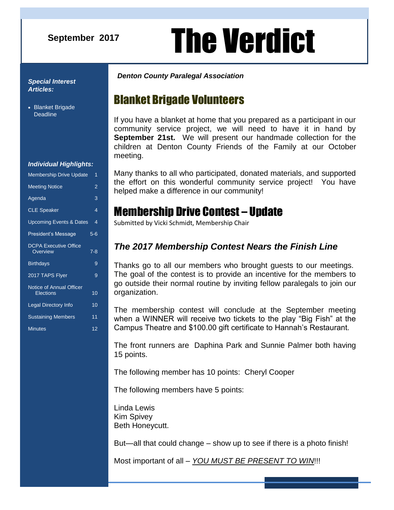### **September 2017**

# **August 2016** The Verdict

#### *Special Interest Articles:*

• Blanket Brigade **Deadline** 

#### *Individual Highlights:*

| <b>Meeting Notice</b><br>Agenda<br><b>CLE Speaker</b><br><b>Upcoming Events &amp; Dates</b><br>President's Message<br><b>DCPA Executive Office</b><br>Overview<br><b>Birthdays</b><br>2017 TAPS Flyer<br>Notice of Annual Officer<br>Elections<br>Legal Directory Info<br><b>Sustaining Members</b><br><b>Minutes</b> | <b>Membership Drive Update</b> |         |  |
|-----------------------------------------------------------------------------------------------------------------------------------------------------------------------------------------------------------------------------------------------------------------------------------------------------------------------|--------------------------------|---------|--|
|                                                                                                                                                                                                                                                                                                                       |                                | 2       |  |
|                                                                                                                                                                                                                                                                                                                       |                                | 3       |  |
|                                                                                                                                                                                                                                                                                                                       |                                | 4       |  |
|                                                                                                                                                                                                                                                                                                                       |                                | 4       |  |
|                                                                                                                                                                                                                                                                                                                       |                                | $5 - 6$ |  |
|                                                                                                                                                                                                                                                                                                                       |                                | 7-8     |  |
|                                                                                                                                                                                                                                                                                                                       |                                | 9       |  |
|                                                                                                                                                                                                                                                                                                                       |                                | 9       |  |
|                                                                                                                                                                                                                                                                                                                       |                                | 10      |  |
|                                                                                                                                                                                                                                                                                                                       |                                | 10      |  |
|                                                                                                                                                                                                                                                                                                                       |                                | 11      |  |
|                                                                                                                                                                                                                                                                                                                       |                                | 12      |  |

#### *Denton County Paralegal Association*

### Blanket Brigade Volunteers

If you have a blanket at home that you prepared as a participant in our community service project, we will need to have it in hand by **September 21st.** We will present our handmade collection for the children at Denton County Friends of the Family at our October meeting.

Many thanks to all who participated, donated materials, and supported the effort on this wonderful community service project! You have helped make a difference in our community!

### Membership Drive Contest – Update

Submitted by Vicki Schmidt, Membership Chair

### *The 2017 Membership Contest Nears the Finish Line*

Thanks go to all our members who brought guests to our meetings. The goal of the contest is to provide an incentive for the members to go outside their normal routine by inviting fellow paralegals to join our organization.

The membership contest will conclude at the September meeting when a WINNER will receive two tickets to the play "Big Fish" at the Campus Theatre and \$100.00 gift certificate to Hannah's Restaurant.

The front runners are Daphina Park and Sunnie Palmer both having 15 points.

The following member has 10 points: Cheryl Cooper

The following members have 5 points:

Linda Lewis Kim Spivey Beth Honeycutt.

But—all that could change – show up to see if there is a photo finish!

Most important of all – *YOU MUST BE PRESENT TO WIN*!!!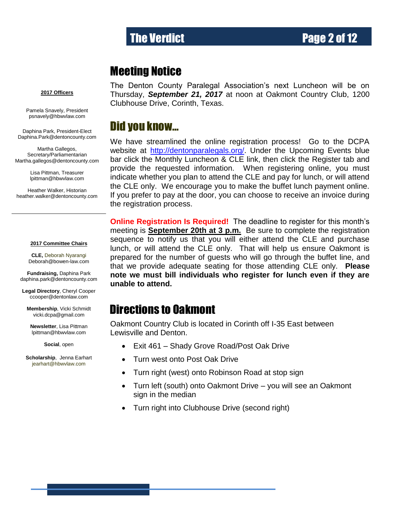## The Verdict **Page 2 of 12**

### Meeting Notice

#### **2017 Officers**

Pamela Snavely, President [psnavely@hbwvlaw.com](mailto:psnavely@hbwvlaw.com)

Daphina Park, President-Elect Daphina.Park@dentoncounty.com

Martha Gallegos, Secretary/Parliamentarian Martha.gallegos@dentoncounty.com

> Lisa Pittman, Treasurer [lpittman@hbwvlaw.com](mailto:lpittman@hbwvlaw.com)

Heather Walker, Historian [heather.walker@dentoncounty.com](mailto:Kim.guertler@dentoncounty.com)

#### **2017 Committee Chairs**

**CLE,** Deborah Nyarangi Deborah@bowen-law.com

**Fundraising,** Daphina Park daphina.park@dentoncounty.com

**Legal Directory**, Cheryl Cooper [ccooper@dentonlaw.com](mailto:BHunter410@gmail.com)

**Membership**, Vicki Schmidt [vicki.dcpa@gmail.com](mailto:gottigina@yahoo.com)

**Newsletter**, Lisa Pittman [lpittman@hbwvlaw.com](mailto:lpittman@hbwvlaw.com)

**Social**, open

**Scholarship**, Jenna Earhart jearhart@hbwvlaw.com

The Denton County Paralegal Association's next Luncheon will be on Thursday, *September 21, 2017* at noon at Oakmont Country Club, 1200 Clubhouse Drive, Corinth, Texas.

### Did you know…

We have streamlined the online registration process! Go to the DCPA website at [http://dentonparalegals.org/.](http://dentonparalegals.org/) Under the Upcoming Events blue bar click the Monthly Luncheon & CLE link, then click the Register tab and provide the requested information. When registering online, you must indicate whether you plan to attend the CLE and pay for lunch, or will attend the CLE only. We encourage you to make the buffet lunch payment online. If you prefer to pay at the door, you can choose to receive an invoice during the registration process.

**Online Registration Is Required!** The deadline to register for this month's meeting is **September 20th at 3 p.m.** Be sure to complete the registration sequence to notify us that you will either attend the CLE and purchase lunch, or will attend the CLE only. That will help us ensure Oakmont is prepared for the number of guests who will go through the buffet line, and that we provide adequate seating for those attending CLE only. **Please note we must bill individuals who register for lunch even if they are unable to attend.**

### Directions to Oakmont

Oakmont Country Club is located in Corinth off I-35 East between Lewisville and Denton. ׇ֖֖֚֚֚֚֚֡֬

- Exit 461 Shady Grove Road/Post Oak Drive
- Turn west onto Post Oak Drive
- Turn right (west) onto Robinson Road at stop sign
- Turn left (south) onto Oakmont Drive you will see an Oakmont sign in the median
- Turn right into Clubhouse Drive (second right)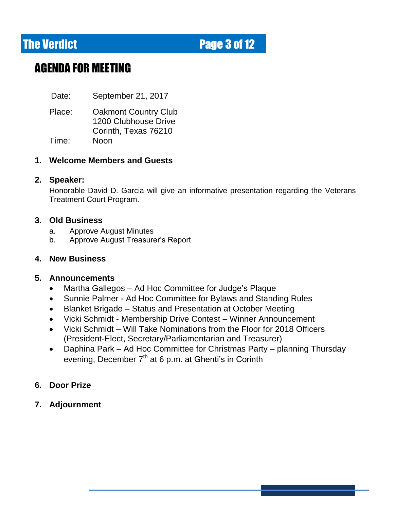**The Verdict Electronic Electronic Page 3 of 12** 

### AGENDA FOR MEETING

Date: September 21, 2017

Place: Oakmont Country Club 1200 Clubhouse Drive Corinth, Texas 76210 Time: Noon

#### **1. Welcome Members and Guests**

#### **2. Speaker:**

Honorable David D. Garcia will give an informative presentation regarding the Veterans Treatment Court Program.

#### **3. Old Business**

- a. Approve August Minutes
- b. Approve August Treasurer's Report

#### **4. New Business**

### **5. Announcements**

- Martha Gallegos Ad Hoc Committee for Judge's Plaque
- Sunnie Palmer Ad Hoc Committee for Bylaws and Standing Rules
- Blanket Brigade Status and Presentation at October Meeting
- Vicki Schmidt Membership Drive Contest Winner Announcement
- Vicki Schmidt Will Take Nominations from the Floor for 2018 Officers (President-Elect, Secretary/Parliamentarian and Treasurer)
- Daphina Park Ad Hoc Committee for Christmas Party planning Thursday evening, December 7<sup>th</sup> at 6 p.m. at Ghenti's in Corinth
- **6. Door Prize**
- **7. Adjournment**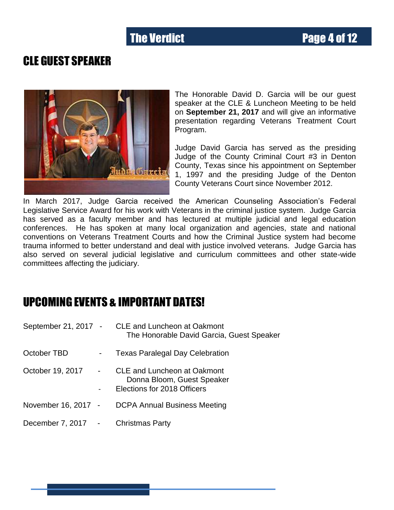### CLE GUEST SPEAKER



The Honorable David D. Garcia will be our guest speaker at the CLE & Luncheon Meeting to be held on **September 21, 2017** and will give an informative presentation regarding Veterans Treatment Court Program.

Judge David Garcia has served as the presiding Judge of the County Criminal Court #3 in Denton County, Texas since his appointment on September 1, 1997 and the presiding Judge of the Denton County Veterans Court since November 2012.

In March 2017, Judge Garcia received the American Counseling Association's Federal Legislative Service Award for his work with Veterans in the criminal justice system. Judge Garcia has served as a faculty member and has lectured at multiple judicial and legal education conferences. He has spoken at many local organization and agencies, state and national conventions on Veterans Treatment Courts and how the Criminal Justice system had become trauma informed to better understand and deal with justice involved veterans. Judge Garcia has also served on several judicial legislative and curriculum committees and other state-wide committees affecting the judiciary.

### UPCOMING EVENTS & IMPORTANT DATES!

| September 21, 2017 - |                     | <b>CLE and Luncheon at Oakmont</b><br>The Honorable David Garcia, Guest Speaker                 |
|----------------------|---------------------|-------------------------------------------------------------------------------------------------|
| October TBD          | $\blacksquare$      | <b>Texas Paralegal Day Celebration</b>                                                          |
| October 19, 2017     | $\sim 10^{-1}$<br>- | <b>CLE and Luncheon at Oakmont</b><br>Donna Bloom, Guest Speaker<br>Elections for 2018 Officers |
| November 16, 2017 -  |                     | <b>DCPA Annual Business Meeting</b>                                                             |
| December 7, 2017 -   |                     | <b>Christmas Party</b>                                                                          |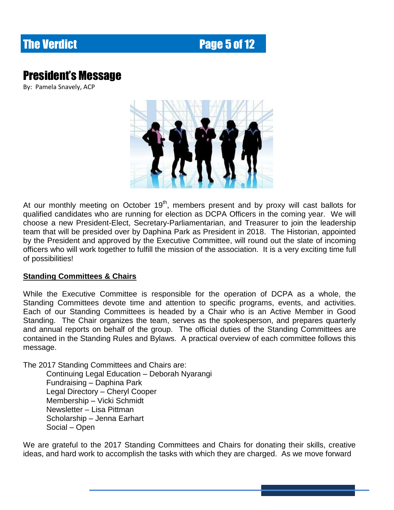## **The Verdict Page 5 of 12**

## President's Message

By: Pamela Snavely, ACP



At our monthly meeting on October  $19<sup>th</sup>$ , members present and by proxy will cast ballots for qualified candidates who are running for election as DCPA Officers in the coming year. We will choose a new President-Elect, Secretary-Parliamentarian, and Treasurer to join the leadership team that will be presided over by Daphina Park as President in 2018. The Historian, appointed by the President and approved by the Executive Committee, will round out the slate of incoming officers who will work together to fulfill the mission of the association. It is a very exciting time full of possibilities!

#### **Standing Committees & Chairs**

While the Executive Committee is responsible for the operation of DCPA as a whole, the Standing Committees devote time and attention to specific programs, events, and activities. Each of our Standing Committees is headed by a Chair who is an Active Member in Good Standing. The Chair organizes the team, serves as the spokesperson, and prepares quarterly and annual reports on behalf of the group. The official duties of the Standing Committees are contained in the Standing Rules and Bylaws. A practical overview of each committee follows this message.

The 2017 Standing Committees and Chairs are:

Continuing Legal Education – Deborah Nyarangi Fundraising – Daphina Park Legal Directory – Cheryl Cooper Membership – Vicki Schmidt Newsletter – Lisa Pittman Scholarship – Jenna Earhart Social – Open

We are grateful to the 2017 Standing Committees and Chairs for donating their skills, creative ideas, and hard work to accomplish the tasks with which they are charged. As we move forward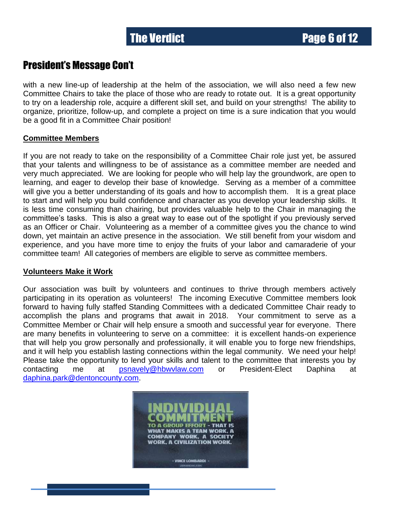### President's Message Con't

with a new line-up of leadership at the helm of the association, we will also need a few new Committee Chairs to take the place of those who are ready to rotate out. It is a great opportunity to try on a leadership role, acquire a different skill set, and build on your strengths! The ability to organize, prioritize, follow-up, and complete a project on time is a sure indication that you would be a good fit in a Committee Chair position!

#### **Committee Members**

If you are not ready to take on the responsibility of a Committee Chair role just yet, be assured that your talents and willingness to be of assistance as a committee member are needed and very much appreciated. We are looking for people who will help lay the groundwork, are open to learning, and eager to develop their base of knowledge. Serving as a member of a committee will give you a better understanding of its goals and how to accomplish them. It is a great place to start and will help you build confidence and character as you develop your leadership skills. It is less time consuming than chairing, but provides valuable help to the Chair in managing the committee's tasks. This is also a great way to ease out of the spotlight if you previously served as an Officer or Chair. Volunteering as a member of a committee gives you the chance to wind down, yet maintain an active presence in the association. We still benefit from your wisdom and experience, and you have more time to enjoy the fruits of your labor and camaraderie of your committee team! All categories of members are eligible to serve as committee members.

#### **Volunteers Make it Work**

Our association was built by volunteers and continues to thrive through members actively participating in its operation as volunteers! The incoming Executive Committee members look forward to having fully staffed Standing Committees with a dedicated Committee Chair ready to accomplish the plans and programs that await in 2018. Your commitment to serve as a Committee Member or Chair will help ensure a smooth and successful year for everyone. There are many benefits in volunteering to serve on a committee: it is excellent hands-on experience that will help you grow personally and professionally, it will enable you to forge new friendships, and it will help you establish lasting connections within the legal community. We need your help! Please take the opportunity to lend your skills and talent to the committee that interests you by contacting me at [psnavely@hbwvlaw.com](mailto:psnavely@hbwvlaw.com) or President-Elect Daphina at [daphina.park@dentoncounty.com.](mailto:daphina.park@dentoncounty.com)

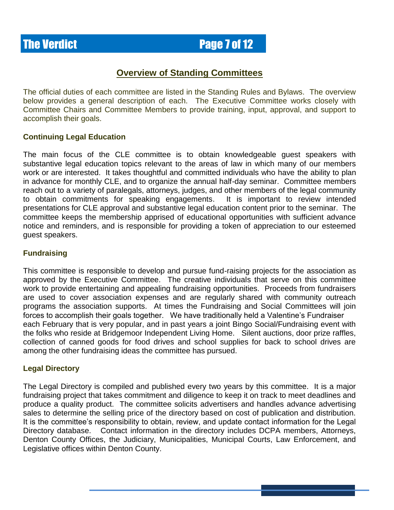### **The Verdict Page 7 of 12**

### **Overview of Standing Committees**

The official duties of each committee are listed in the Standing Rules and Bylaws. The overview below provides a general description of each. The Executive Committee works closely with Committee Chairs and Committee Members to provide training, input, approval, and support to accomplish their goals.

#### **Continuing Legal Education**

The main focus of the CLE committee is to obtain knowledgeable guest speakers with substantive legal education topics relevant to the areas of law in which many of our members work or are interested. It takes thoughtful and committed individuals who have the ability to plan in advance for monthly CLE, and to organize the annual half-day seminar. Committee members reach out to a variety of paralegals, attorneys, judges, and other members of the legal community to obtain commitments for speaking engagements. It is important to review intended presentations for CLE approval and substantive legal education content prior to the seminar. The committee keeps the membership apprised of educational opportunities with sufficient advance notice and reminders, and is responsible for providing a token of appreciation to our esteemed guest speakers.

#### **Fundraising**

This committee is responsible to develop and pursue fund-raising projects for the association as approved by the Executive Committee. The creative individuals that serve on this committee work to provide entertaining and appealing fundraising opportunities. Proceeds from fundraisers are used to cover association expenses and are regularly shared with community outreach programs the association supports. At times the Fundraising and Social Committees will join forces to accomplish their goals together. We have traditionally held a Valentine's Fundraiser each February that is very popular, and in past years a joint Bingo Social/Fundraising event with the folks who reside at Bridgemoor Independent Living Home. Silent auctions, door prize raffles, collection of canned goods for food drives and school supplies for back to school drives are among the other fundraising ideas the committee has pursued.

#### **Legal Directory**

The Legal Directory is compiled and published every two years by this committee. It is a major fundraising project that takes commitment and diligence to keep it on track to meet deadlines and produce a quality product. The committee solicits advertisers and handles advance advertising sales to determine the selling price of the directory based on cost of publication and distribution. It is the committee's responsibility to obtain, review, and update contact information for the Legal Directory database. Contact information in the directory includes DCPA members, Attorneys, Denton County Offices, the Judiciary, Municipalities, Municipal Courts, Law Enforcement, and Legislative offices within Denton County.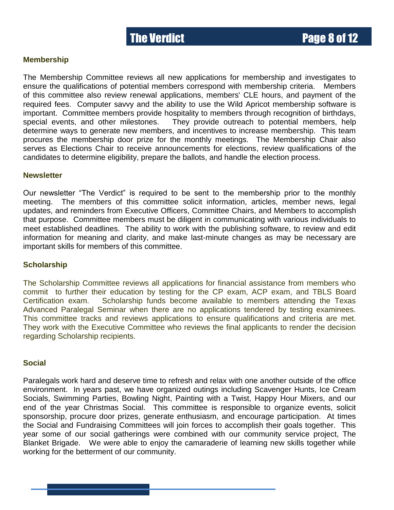#### **Membership**

The Membership Committee reviews all new applications for membership and investigates to ensure the qualifications of potential members correspond with membership criteria. Members of this committee also review renewal applications, members' CLE hours, and payment of the required fees. Computer savvy and the ability to use the Wild Apricot membership software is important. Committee members provide hospitality to members through recognition of birthdays, special events, and other milestones. They provide outreach to potential members, help determine ways to generate new members, and incentives to increase membership. This team procures the membership door prize for the monthly meetings. The Membership Chair also serves as Elections Chair to receive announcements for elections, review qualifications of the candidates to determine eligibility, prepare the ballots, and handle the election process.

#### **Newsletter**

Our newsletter "The Verdict" is required to be sent to the membership prior to the monthly meeting. The members of this committee solicit information, articles, member news, legal updates, and reminders from Executive Officers, Committee Chairs, and Members to accomplish that purpose. Committee members must be diligent in communicating with various individuals to meet established deadlines. The ability to work with the publishing software, to review and edit information for meaning and clarity, and make last-minute changes as may be necessary are important skills for members of this committee.

#### **Scholarship**

The Scholarship Committee reviews all applications for financial assistance from members who commit to further their education by testing for the CP exam, ACP exam, and TBLS Board Certification exam. Scholarship funds become available to members attending the Texas Advanced Paralegal Seminar when there are no applications tendered by testing examinees. This committee tracks and reviews applications to ensure qualifications and criteria are met. They work with the Executive Committee who reviews the final applicants to render the decision regarding Scholarship recipients.

#### **Social**

Paralegals work hard and deserve time to refresh and relax with one another outside of the office environment. In years past, we have organized outings including Scavenger Hunts, Ice Cream Socials, Swimming Parties, Bowling Night, Painting with a Twist, Happy Hour Mixers, and our end of the year Christmas Social. This committee is responsible to organize events, solicit sponsorship, procure door prizes, generate enthusiasm, and encourage participation. At times the Social and Fundraising Committees will join forces to accomplish their goals together. This year some of our social gatherings were combined with our community service project, The Blanket Brigade. We were able to enjoy the camaraderie of learning new skills together while working for the betterment of our community.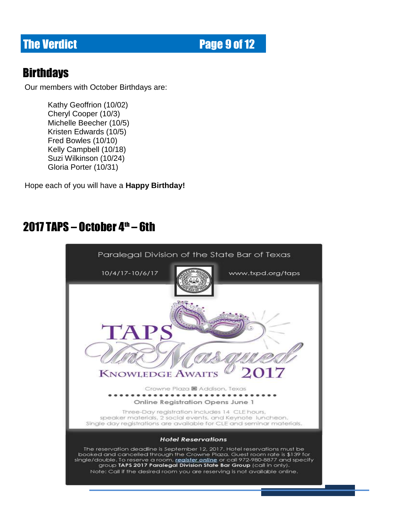**The Verdict Page 9 of 12** 

### **Birthdays**

Our members with October Birthdays are:

Kelly Gampbell (10/10)<br>Suzi Wilkinson (10/24) Kathy Geoffrion (10/02) Cheryl Cooper (10/3) Michelle Beecher (10/5) Kristen Edwards (10/5) Fred Bowles (10/10) Kelly Campbell (10/18) Gloria Porter (10/31)

Hope each of you will have a **Happy Birthday!**

## 2017 TAPS – October  $4<sup>th</sup>$  – 6th

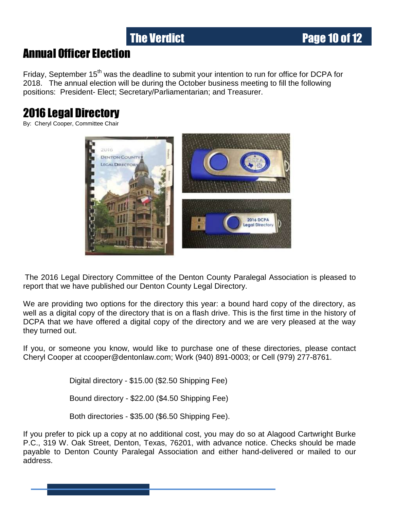## The Verdict **Page 10 of 12**

### Annual Officer Election

Friday, September 15<sup>th</sup> was the deadline to submit your intention to run for office for DCPA for 2018. The annual election will be during the October business meeting to fill the following positions: President- Elect; Secretary/Parliamentarian; and Treasurer.

## 2016 Legal Directory

By: Cheryl Cooper, Committee Chair



The 2016 Legal Directory Committee of the Denton County Paralegal Association is pleased to report that we have published our Denton County Legal Directory.

We are providing two options for the directory this year: a bound hard copy of the directory, as well as a digital copy of the directory that is on a flash drive. This is the first time in the history of DCPA that we have offered a digital copy of the directory and we are very pleased at the way they turned out.

If you, or someone you know, would like to purchase one of these directories, please contact Cheryl Cooper at ccooper@dentonlaw.com; Work (940) 891-0003; or Cell (979) 277-8761.

Digital directory - \$15.00 (\$2.50 Shipping Fee)

Bound directory - \$22.00 (\$4.50 Shipping Fee)

Both directories - \$35.00 (\$6.50 Shipping Fee).

If you prefer to pick up a copy at no additional cost, you may do so at Alagood Cartwright Burke P.C., 319 W. Oak Street, Denton, Texas, 76201, with advance notice. Checks should be made payable to Denton County Paralegal Association and either hand-delivered or mailed to our address.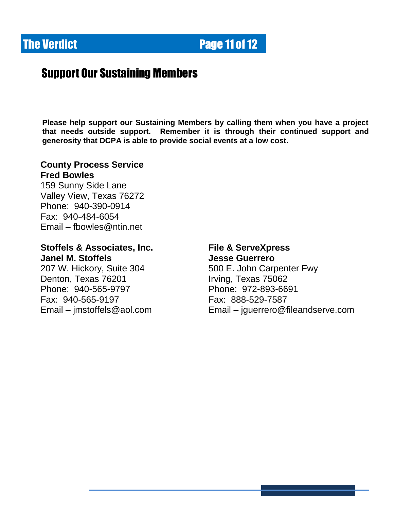

### Support Our Sustaining Members

**Please help support our Sustaining Members by calling them when you have a project that needs outside support. Remember it is through their continued support and generosity that DCPA is able to provide social events at a low cost.**

### **County Process Service Fred Bowles**

159 Sunny Side Lane Valley View, Texas 76272 Phone: 940-390-0914 Fax: 940-484-6054 Email – [fbowles@ntin.net](mailto:fbowles@ntin.net) 

### **Stoffels & Associates, Inc. File & ServeXpress Janel M. Stoffels Jesse Guerrero**

207 W. Hickory, Suite 304 500 E. John Carpenter Fwy Denton, Texas 76201 Irving, Texas 75062 Phone: 940-565-9797 Phone: 972-893-6691 Fax: 940-565-9197 Fax: 888-529-7587

Email – [jmstoffels@aol.com](mailto:jmstoffels@aol.com) Email – jguerrero@fileandserve.com